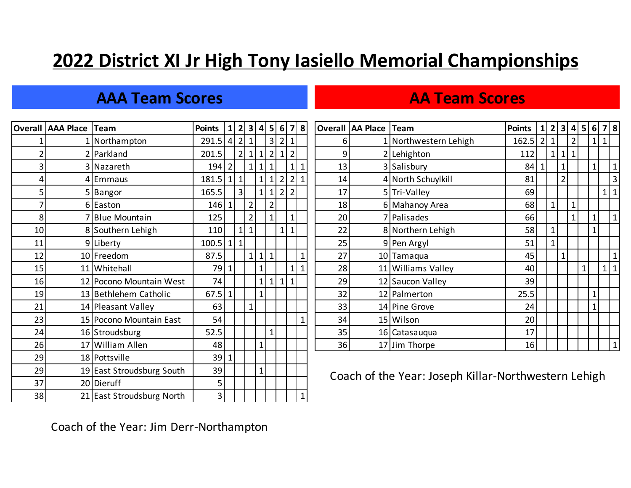# **2022 District XI Jr High Tony Iasiello Memorial Championships**

## **AAA Team Scores AA Team Scores**

|    | <b>Overall AAA Place Team</b> |                            | <b>Points</b>  | 11 | 2   3   4   5   6   7   8 |                |              |                |                |                   |              |    | Overall AA Place | Team                                            | <b>Points</b> | 1              | 2 <sup>1</sup> | 3 4            |              |  |  |  |
|----|-------------------------------|----------------------------|----------------|----|---------------------------|----------------|--------------|----------------|----------------|-------------------|--------------|----|------------------|-------------------------------------------------|---------------|----------------|----------------|----------------|--------------|--|--|--|
|    |                               | 1 Northampton              | $291.5$ 4 2    |    |                           | $\vert$ 1      |              | 3              | $\overline{2}$ | $\vert$ 1         |              | 6  |                  | 1 Northwestern Lehigh                           | 162.5         | $\overline{2}$ |                |                |              |  |  |  |
|    |                               | 2 Parkland                 | 201.5          |    | $\overline{2}$            | $1\vert$       | $1\vert$     | $\overline{2}$ | $\mathbf{1}$   | $\overline{2}$    |              | 9  |                  | 2 Lehighton                                     | 112           |                | $\overline{1}$ | $\mathbf{1}$   |              |  |  |  |
| 3  |                               | 3 Nazareth                 | 194 2          |    |                           | 1 <sup>1</sup> |              | 1 1            |                | 1                 | $\mathbf{1}$ | 13 |                  | 3 Salisbury                                     | $84 \vert 1$  |                |                | $\mathbf{1}$   |              |  |  |  |
| 4  |                               | 4 Emmaus                   | 181.5          |    | 1 1                       |                |              | 1 1            |                | $2 \mid 2 \mid 1$ |              | 14 |                  | 4 North Schuylkill                              | 81            |                |                | $\overline{2}$ |              |  |  |  |
| 5  |                               | 5 Bangor                   | 165.5          |    | $\overline{3}$            |                | $1\vert$     | $\mathbf{1}$   |                | 2 2               |              | 17 |                  | 5 Tri-Valley                                    | 69            |                |                |                |              |  |  |  |
|    |                               | 6 Easton                   | $146$   1      |    |                           | $\overline{2}$ |              | $\overline{2}$ |                |                   |              | 18 |                  | 6 Mahanoy Area                                  | 68            |                | $1\vert$       |                | $\mathbf{1}$ |  |  |  |
| 8  |                               | 7 <sup>Blue</sup> Mountain | 125            |    |                           | $\overline{2}$ |              |                |                | $\mathbf{1}$      |              | 20 |                  | 7 Palisades                                     | 66            |                |                |                |              |  |  |  |
| 10 |                               | 8 Southern Lehigh          | 110            |    | $\mathbf{1}$              | $\mathbf{1}$   |              |                | $\mathbf{1}$   | $\mathbf{1}$      |              | 22 |                  | 8 Northern Lehigh                               | 58            |                | $\mathbf{1}$   |                |              |  |  |  |
| 11 |                               | 9 Liberty                  | 100.5          |    | 1 1                       |                |              |                |                |                   |              | 25 |                  | 9 Pen Argyl                                     | 51            |                | $\mathbf 1$    |                |              |  |  |  |
| 12 |                               | 10 Freedom                 | 87.5           |    |                           |                | 1 1 1        |                |                |                   |              | 27 |                  | 10 Tamaqua                                      | 45            |                |                | $\mathbf 1$    |              |  |  |  |
| 15 |                               | 11 Whitehall               | 79             |    |                           |                | $\mathbf{1}$ |                |                | 1 <sup>1</sup>    | $\mathbf{1}$ | 28 |                  | 11 Williams Valley                              | 40            |                |                |                |              |  |  |  |
| 16 |                               | 12 Pocono Mountain West    | 74             |    |                           |                | $1\vert$     | $\mathbf{1}$   | 1 <sup>1</sup> | $\vert$ 1         |              | 29 |                  | 12 Saucon Valley                                | 39            |                |                |                |              |  |  |  |
| 19 |                               | 13 Bethlehem Catholic      | $67.5$   1     |    |                           |                | $1\vert$     |                |                |                   |              | 32 |                  | 12 Palmerton                                    | 25.5          |                |                |                |              |  |  |  |
| 21 |                               | 14 Pleasant Valley         | 63             |    |                           | 1              |              |                |                |                   |              | 33 |                  | 14 Pine Grove                                   | 24            |                |                |                |              |  |  |  |
| 23 |                               | 15 Pocono Mountain East    | 54             |    |                           |                |              |                |                |                   | $\mathbf{1}$ | 34 |                  | 15 Wilson                                       | 20            |                |                |                |              |  |  |  |
| 24 |                               | 16 Stroudsburg             | 52.5           |    |                           |                |              | 1              |                |                   |              | 35 |                  | 16 Catasaugua                                   | 17            |                |                |                |              |  |  |  |
| 26 |                               | 17 William Allen           | 48             |    |                           |                | $\mathbf{1}$ |                |                |                   |              | 36 |                  | 17 Jim Thorpe                                   | 16            |                |                |                |              |  |  |  |
| 29 |                               | 18 Pottsville              | 39             |    |                           |                |              |                |                |                   |              |    |                  |                                                 |               |                |                |                |              |  |  |  |
| 29 |                               | 19 East Stroudsburg South  | 39             |    |                           |                | $1\vert$     |                |                |                   |              |    |                  | Coach of the Year: Joseph Killar-Northwestern L |               |                |                |                |              |  |  |  |
| 37 |                               | 20 Dieruff                 | 5              |    |                           |                |              |                |                |                   |              |    |                  |                                                 |               |                |                |                |              |  |  |  |
| 38 |                               | 21 East Stroudsburg North  | 3 <sup>1</sup> |    |                           |                |              |                |                |                   |              |    |                  |                                                 |               |                |                |                |              |  |  |  |

|    | Overall AAA Place Team |                         | Points $ 1 2 3 4 5 6 7 8$ |                |                |              |                |              |              |              |    | <b>Overall AA Place Team</b> |                       | Points         |   |                |                |              | 1 2 3 4 5 6 7 8 |
|----|------------------------|-------------------------|---------------------------|----------------|----------------|--------------|----------------|--------------|--------------|--------------|----|------------------------------|-----------------------|----------------|---|----------------|----------------|--------------|-----------------|
|    |                        | 1 Northampton           | $291.5$ 4 2 1             |                |                |              | 3 2            |              | 1            |              |    |                              | 1 Northwestern Lehigh | $162.5$   2  1 |   |                | $\overline{2}$ |              |                 |
|    |                        | 2 Parkland              | 201.5                     | 2 <sup>1</sup> |                | 1            | 2 1            |              | $\vert$ 2    |              | 9  |                              | 2 Lehighton           | 112            | 1 | 1 1            |                |              |                 |
|    |                        | 3 Nazareth              | 194 2                     |                |                | 1 1          | $\mathbf{1}$   |              | 1 1          |              | 13 |                              | 3 Salisbury           | 84             |   |                |                | $\mathbf 1$  | $\mathbf 1$     |
|    |                        | 4 Emmaus                | $181.5$   1  1            |                |                | $1\vert$     | 1 2            |              | 2 1          |              | 14 |                              | 4 North Schuylkill    | 81             |   | $\overline{2}$ |                |              | $\overline{3}$  |
|    |                        | 5 Bangor                | 165.5                     | 3              |                | $1\vert$     | 1 2 2          |              |              |              | 17 |                              | 5 Tri-Valley          | 69             |   |                |                |              | $1 \vert 1$     |
|    |                        | 6 Easton                | 146 1                     |                | $\overline{2}$ |              | $\overline{2}$ |              |              |              | 18 |                              | 6 Mahanoy Area        | 68             |   |                | $\mathbf{1}$   |              |                 |
| 8  |                        | 7 Blue Mountain         | 125                       |                | $\overline{2}$ |              |                |              |              |              | 20 |                              | 7 Palisades           | 66             |   |                |                |              | $\mathbf{1}$    |
| 10 |                        | 8 Southern Lehigh       | 110                       |                |                |              |                | $\mathbf{1}$ | $\mathbf{1}$ |              | 22 |                              | 8 Northern Lehigh     | 58             |   |                |                |              |                 |
| 11 |                        | 9 Liberty               | $100.5$   1  1            |                |                |              |                |              |              |              | 25 |                              | 9 Pen Argyl           | 51             |   |                |                |              |                 |
| 12 |                        | 10 Freedom              | 87.5                      |                |                | 1 1 1        |                |              |              | $\mathbf{1}$ | 27 |                              | 10 Tamaqua            | 45             |   | $\mathbf{1}$   |                |              | $1\,$           |
| 15 |                        | 11 Whitehall            | 79 1                      |                |                | $\mathbf{1}$ |                |              | 1 1          |              | 28 |                              | 11 Williams Valley    | 40             |   |                |                | $\mathbf{1}$ | $1 \vert 1$     |
| 16 |                        | 12 Pocono Mountain West | 74                        |                |                | 1            | 1 1            |              | $\vert$ 1    |              | 29 |                              | 12 Saucon Valley      | 39             |   |                |                |              |                 |
| 19 |                        | 13 Bethlehem Catholic   | $67.5$   1                |                |                | $\mathbf{1}$ |                |              |              |              | 32 |                              | 12 Palmerton          | 25.5           |   |                |                | $\mathbf{1}$ |                 |
| 21 |                        | 14 Pleasant Valley      | 63                        |                |                |              |                |              |              |              | 33 |                              | 14 Pine Grove         | 24             |   |                |                | $\mathbf{1}$ |                 |
| 23 |                        | 15 Pocono Mountain East | 54                        |                |                |              |                |              |              | $\mathbf{1}$ | 34 |                              | 15 Wilson             | 20             |   |                |                |              |                 |
| 24 |                        | 16 Stroudsburg          | 52.5                      |                |                |              | $\mathbf{1}$   |              |              |              | 35 |                              | 16 Catasauqua         | 17             |   |                |                |              |                 |
| 26 |                        | 17 William Allen        | 48                        |                |                | $\mathbf 1$  |                |              |              |              | 36 |                              | 17 Jim Thorpe         | 16             |   |                |                |              | $\mathbf{1}$    |

Coach of the Year: Joseph Killar-Northwestern Lehigh

Coach of the Year: Jim Derr-Northampton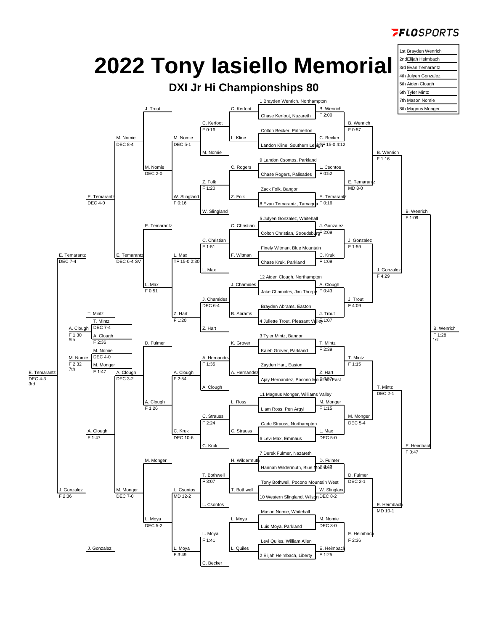

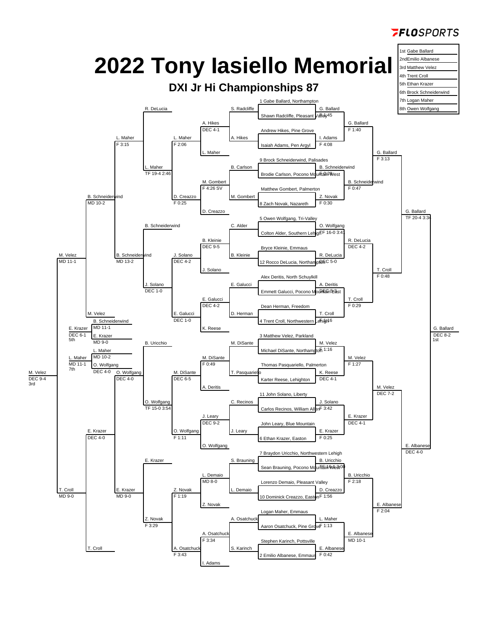

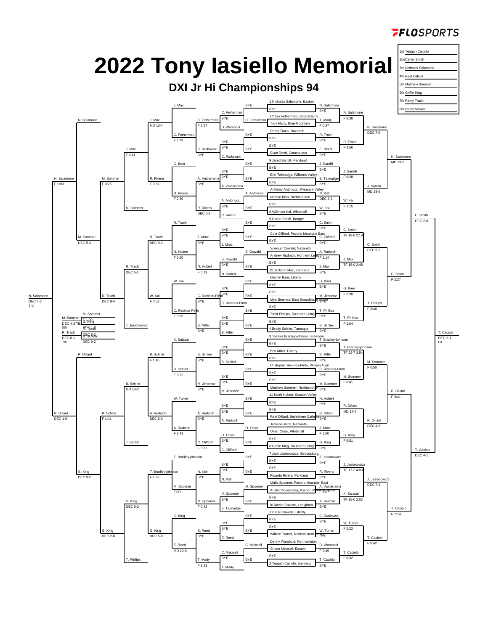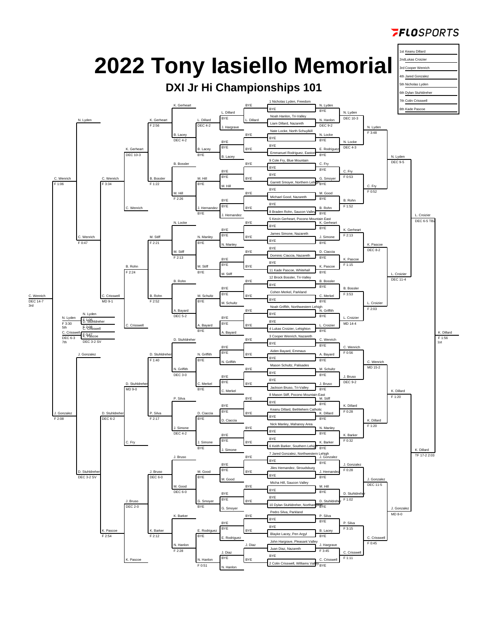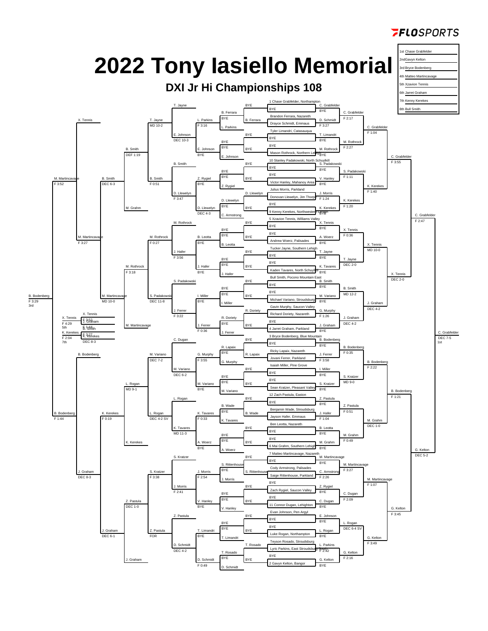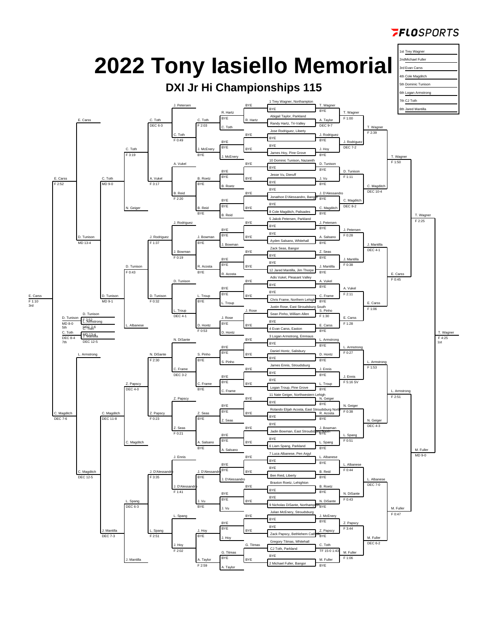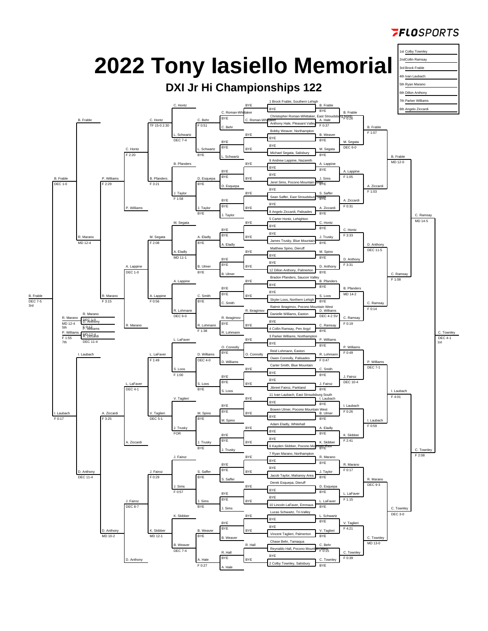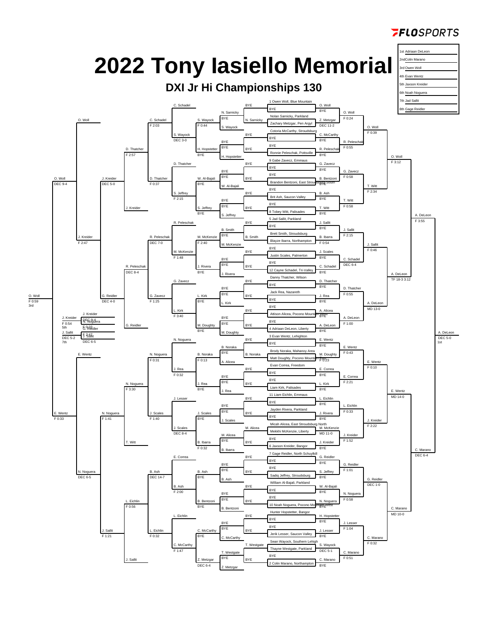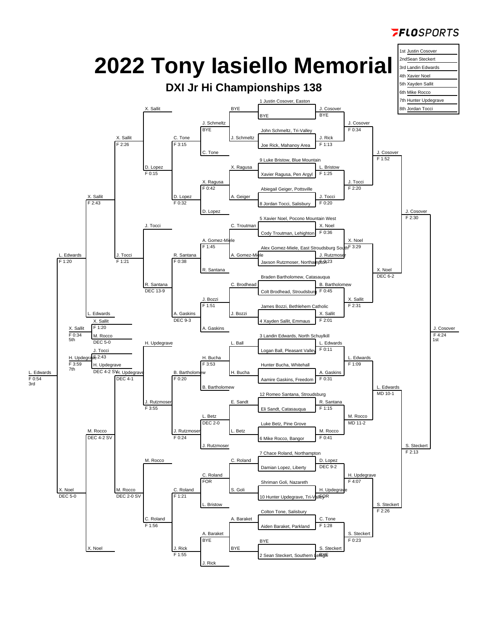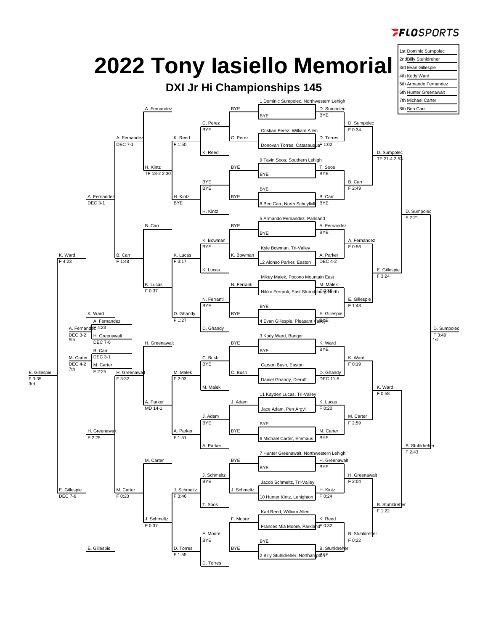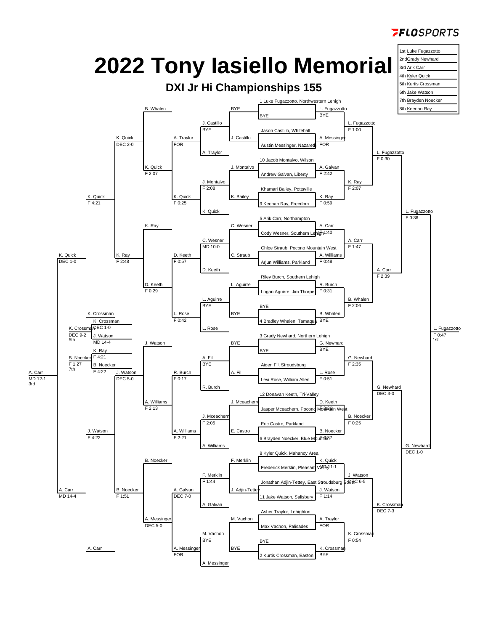

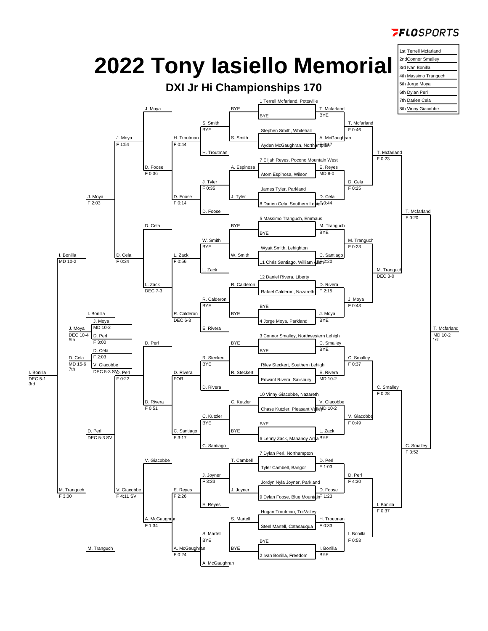

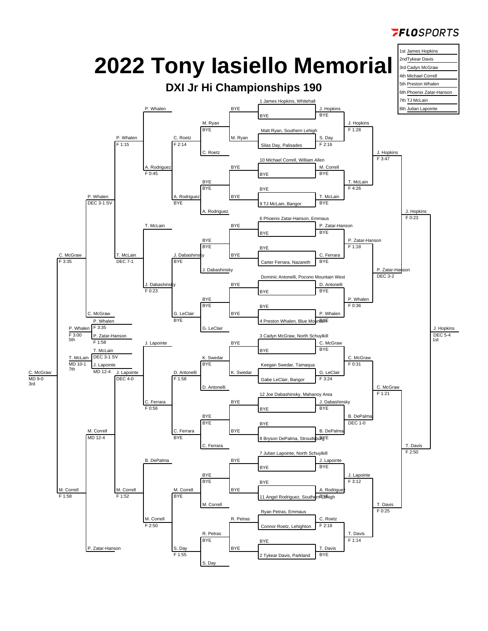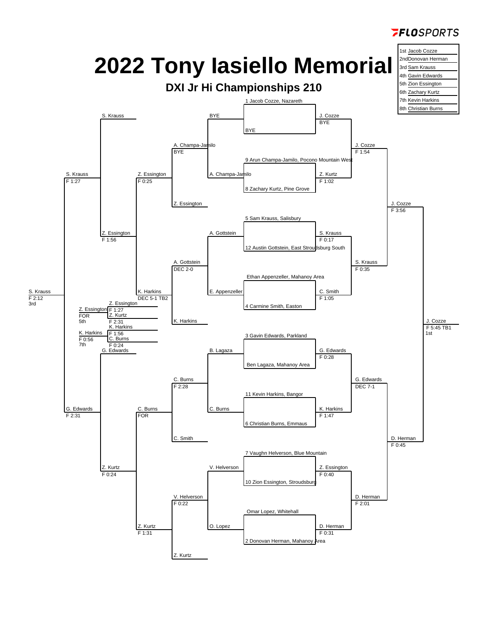